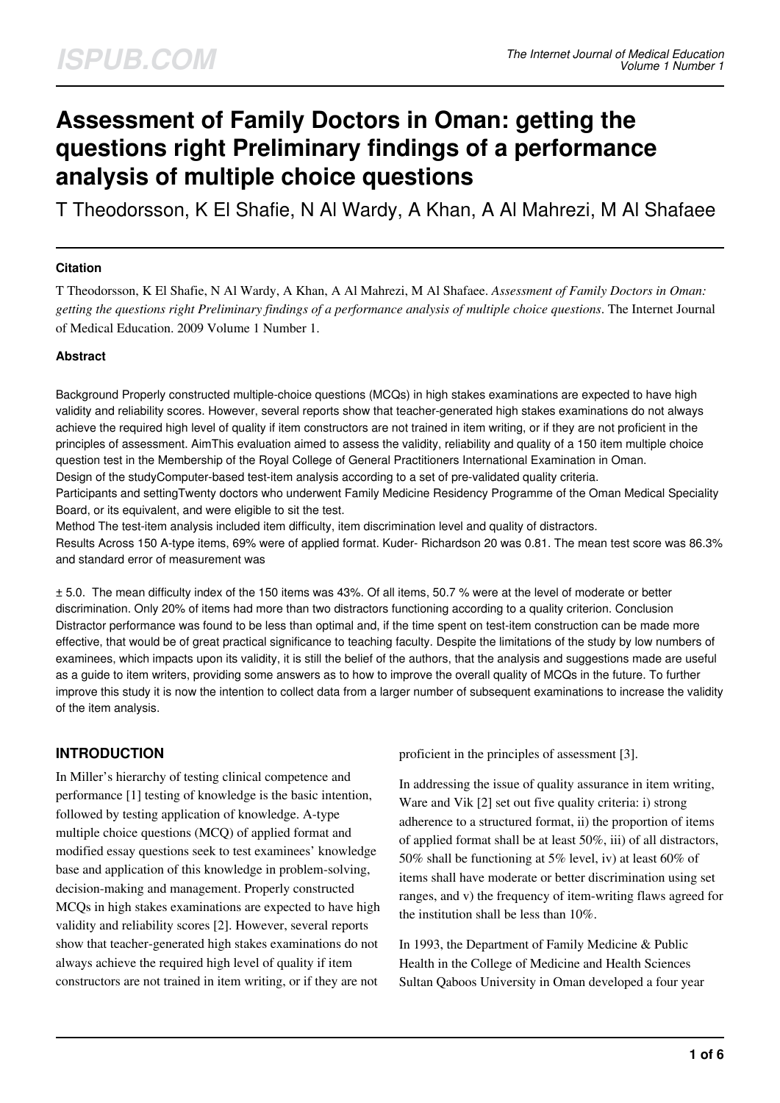# **Assessment of Family Doctors in Oman: getting the questions right Preliminary findings of a performance analysis of multiple choice questions**

T Theodorsson, K El Shafie, N Al Wardy, A Khan, A Al Mahrezi, M Al Shafaee

#### **Citation**

T Theodorsson, K El Shafie, N Al Wardy, A Khan, A Al Mahrezi, M Al Shafaee. *Assessment of Family Doctors in Oman: getting the questions right Preliminary findings of a performance analysis of multiple choice questions*. The Internet Journal of Medical Education. 2009 Volume 1 Number 1.

#### **Abstract**

Background Properly constructed multiple-choice questions (MCQs) in high stakes examinations are expected to have high validity and reliability scores. However, several reports show that teacher-generated high stakes examinations do not always achieve the required high level of quality if item constructors are not trained in item writing, or if they are not proficient in the principles of assessment. AimThis evaluation aimed to assess the validity, reliability and quality of a 150 item multiple choice question test in the Membership of the Royal College of General Practitioners International Examination in Oman. Design of the studyComputer-based test-item analysis according to a set of pre-validated quality criteria. Participants and settingTwenty doctors who underwent Family Medicine Residency Programme of the Oman Medical Speciality

Board, or its equivalent, and were eligible to sit the test.

Method The test-item analysis included item difficulty, item discrimination level and quality of distractors. Results Across 150 A-type items, 69% were of applied format. Kuder- Richardson 20 was 0.81. The mean test score was 86.3% and standard error of measurement was

± 5.0. The mean difficulty index of the 150 items was 43%. Of all items, 50.7 % were at the level of moderate or better discrimination. Only 20% of items had more than two distractors functioning according to a quality criterion. Conclusion Distractor performance was found to be less than optimal and, if the time spent on test-item construction can be made more effective, that would be of great practical significance to teaching faculty. Despite the limitations of the study by low numbers of examinees, which impacts upon its validity, it is still the belief of the authors, that the analysis and suggestions made are useful as a guide to item writers, providing some answers as to how to improve the overall quality of MCQs in the future. To further improve this study it is now the intention to collect data from a larger number of subsequent examinations to increase the validity of the item analysis.

### **INTRODUCTION**

In Miller's hierarchy of testing clinical competence and performance [1] testing of knowledge is the basic intention, followed by testing application of knowledge. A-type multiple choice questions (MCQ) of applied format and modified essay questions seek to test examinees' knowledge base and application of this knowledge in problem-solving, decision-making and management. Properly constructed MCQs in high stakes examinations are expected to have high validity and reliability scores [2]. However, several reports show that teacher-generated high stakes examinations do not always achieve the required high level of quality if item constructors are not trained in item writing, or if they are not

proficient in the principles of assessment [3].

In addressing the issue of quality assurance in item writing, Ware and Vik [2] set out five quality criteria: i) strong adherence to a structured format, ii) the proportion of items of applied format shall be at least 50%, iii) of all distractors, 50% shall be functioning at 5% level, iv) at least 60% of items shall have moderate or better discrimination using set ranges, and v) the frequency of item-writing flaws agreed for the institution shall be less than 10%.

In 1993, the Department of Family Medicine & Public Health in the College of Medicine and Health Sciences Sultan Qaboos University in Oman developed a four year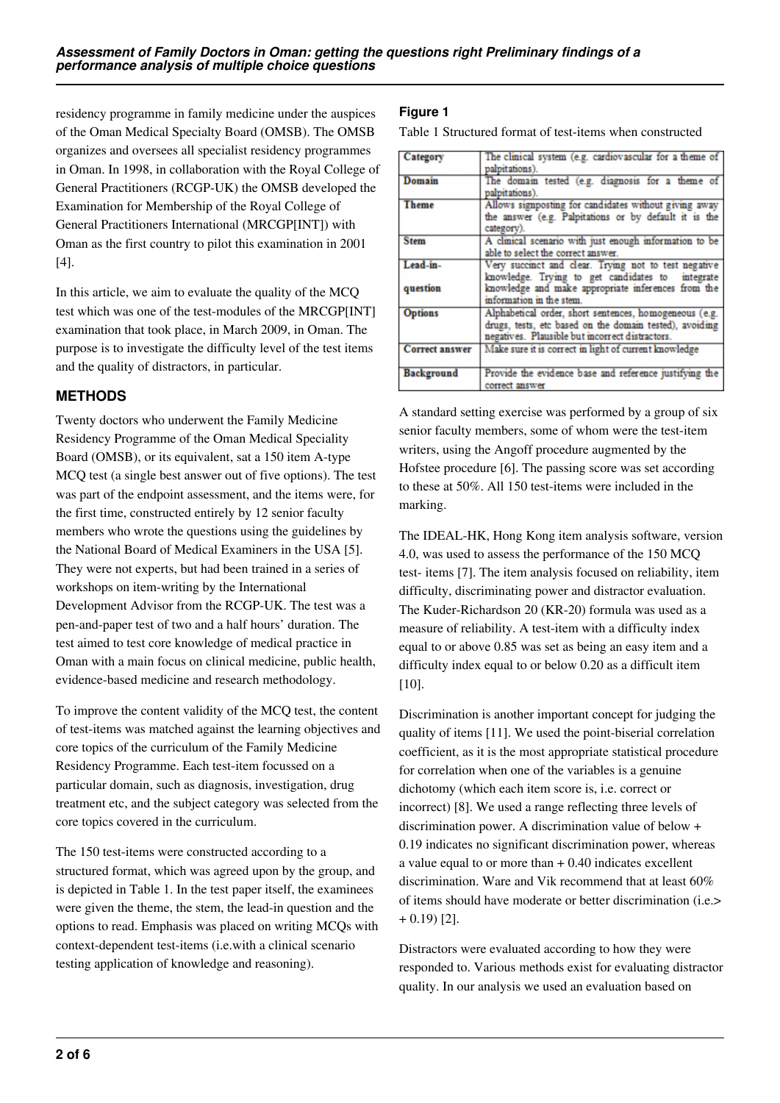residency programme in family medicine under the auspices of the Oman Medical Specialty Board (OMSB). The OMSB organizes and oversees all specialist residency programmes in Oman. In 1998, in collaboration with the Royal College of General Practitioners (RCGP-UK) the OMSB developed the Examination for Membership of the Royal College of General Practitioners International (MRCGP[INT]) with Oman as the first country to pilot this examination in 2001 [4].

In this article, we aim to evaluate the quality of the MCQ test which was one of the test-modules of the MRCGP[INT] examination that took place, in March 2009, in Oman. The purpose is to investigate the difficulty level of the test items and the quality of distractors, in particular.

### **METHODS**

Twenty doctors who underwent the Family Medicine Residency Programme of the Oman Medical Speciality Board (OMSB), or its equivalent, sat a 150 item A-type MCQ test (a single best answer out of five options). The test was part of the endpoint assessment, and the items were, for the first time, constructed entirely by 12 senior faculty members who wrote the questions using the guidelines by the National Board of Medical Examiners in the USA [5]. They were not experts, but had been trained in a series of workshops on item-writing by the International Development Advisor from the RCGP-UK. The test was a pen-and-paper test of two and a half hours' duration. The test aimed to test core knowledge of medical practice in Oman with a main focus on clinical medicine, public health, evidence-based medicine and research methodology.

To improve the content validity of the MCQ test, the content of test-items was matched against the learning objectives and core topics of the curriculum of the Family Medicine Residency Programme. Each test-item focussed on a particular domain, such as diagnosis, investigation, drug treatment etc, and the subject category was selected from the core topics covered in the curriculum.

The 150 test-items were constructed according to a structured format, which was agreed upon by the group, and is depicted in Table 1. In the test paper itself, the examinees were given the theme, the stem, the lead-in question and the options to read. Emphasis was placed on writing MCQs with context-dependent test-items (i.e.with a clinical scenario testing application of knowledge and reasoning).

#### **Figure 1**

Table 1 Structured format of test-items when constructed

| Category              | The clinical system (e.g. cardiovascular for a theme of             |
|-----------------------|---------------------------------------------------------------------|
|                       | palpitations).                                                      |
| Domain                | The domain tested (e.g. diagnosis for a theme of                    |
|                       | palpitations).                                                      |
| <b>Theme</b>          | Allows signposting for candidates without giving away               |
|                       | the answer (e.g. Palpitations or by default it is the<br>category). |
| <b>Stem</b>           | A clinical scenario with just enough information to be              |
|                       | able to select the correct answer.                                  |
| Lead-in-              | Very succinct and clear. Trying not to test negative                |
|                       | knowledge. Trying to get candidates to integrate                    |
| question              | knowledge and make appropriate inferences from the                  |
|                       | information in the stem.                                            |
| <b>Options</b>        | Alphabetical order, short sentences, homogeneous (e.g.              |
|                       | drugs, tests, etc based on the domain tested), avoiding             |
|                       | negatives. Plausible but incorrect distractors.                     |
| <b>Correct answer</b> | Make sure it is correct in light of current knowledge               |
|                       |                                                                     |
| Background            | Provide the evidence base and reference justifying the              |
|                       | correct answer                                                      |

A standard setting exercise was performed by a group of six senior faculty members, some of whom were the test-item writers, using the Angoff procedure augmented by the Hofstee procedure [6]. The passing score was set according to these at 50%. All 150 test-items were included in the marking.

The IDEAL-HK, Hong Kong item analysis software, version 4.0, was used to assess the performance of the 150 MCQ test- items [7]. The item analysis focused on reliability, item difficulty, discriminating power and distractor evaluation. The Kuder-Richardson 20 (KR-20) formula was used as a measure of reliability. A test-item with a difficulty index equal to or above 0.85 was set as being an easy item and a difficulty index equal to or below 0.20 as a difficult item [10].

Discrimination is another important concept for judging the quality of items [11]. We used the point-biserial correlation coefficient, as it is the most appropriate statistical procedure for correlation when one of the variables is a genuine dichotomy (which each item score is, i.e. correct or incorrect) [8]. We used a range reflecting three levels of discrimination power. A discrimination value of below + 0.19 indicates no significant discrimination power, whereas a value equal to or more than  $+0.40$  indicates excellent discrimination. Ware and Vik recommend that at least 60% of items should have moderate or better discrimination (i.e.>  $+ 0.19$  [2].

Distractors were evaluated according to how they were responded to. Various methods exist for evaluating distractor quality. In our analysis we used an evaluation based on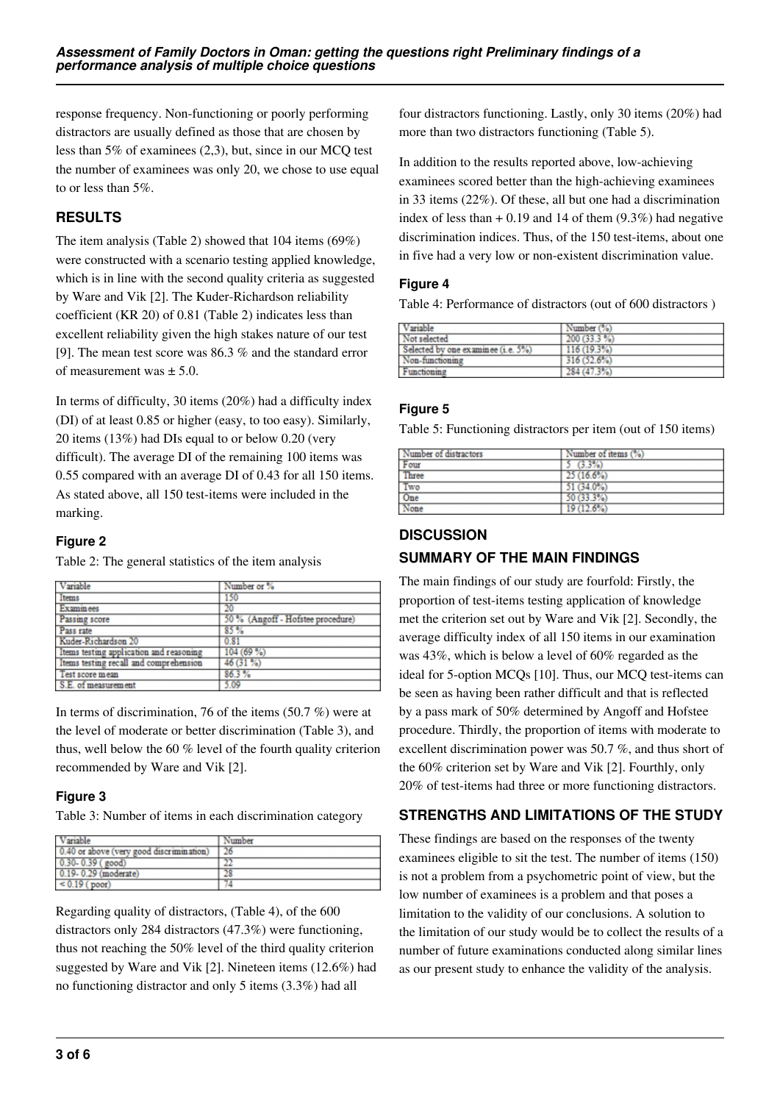response frequency. Non-functioning or poorly performing distractors are usually defined as those that are chosen by less than 5% of examinees (2,3), but, since in our MCQ test the number of examinees was only 20, we chose to use equal to or less than 5%.

# **RESULTS**

The item analysis (Table 2) showed that 104 items (69%) were constructed with a scenario testing applied knowledge, which is in line with the second quality criteria as suggested by Ware and Vik [2]. The Kuder-Richardson reliability coefficient (KR 20) of 0.81 (Table 2) indicates less than excellent reliability given the high stakes nature of our test [9]. The mean test score was 86.3 % and the standard error of measurement was  $\pm$  5.0.

In terms of difficulty, 30 items (20%) had a difficulty index (DI) of at least 0.85 or higher (easy, to too easy). Similarly, 20 items (13%) had DIs equal to or below 0.20 (very difficult). The average DI of the remaining 100 items was 0.55 compared with an average DI of 0.43 for all 150 items. As stated above, all 150 test-items were included in the marking.

### **Figure 2**

Table 2: The general statistics of the item analysis

| Variable                                | Number or %                       |
|-----------------------------------------|-----------------------------------|
| Items                                   | 150                               |
| <b>Examinees</b>                        | 20                                |
| Passing score                           | 50 % (Angoff - Hofstee procedure) |
| Pass rate                               | 85%                               |
| Kuder-Richardson 20                     | 0.81                              |
| Items testing application and reasoning | 104(69%)                          |
| Items testing recall and comprehension  | $46(31\%)$                        |
| Test score mean                         | 86.3%                             |
| S.E. of measurement                     | 5.09                              |

In terms of discrimination, 76 of the items (50.7 %) were at the level of moderate or better discrimination (Table 3), and thus, well below the 60 % level of the fourth quality criterion recommended by Ware and Vik [2].

### **Figure 3**

Table 3: Number of items in each discrimination category

| Variable                                 | Number |
|------------------------------------------|--------|
| 0.40 or above (very good discrimination) | 26     |
| $0.30 - 0.39$ (good)                     | 22     |
| 0.19-0.29 (moderate)                     | 28     |
| $< 0.19$ (poor)                          |        |

Regarding quality of distractors, (Table 4), of the 600 distractors only 284 distractors (47.3%) were functioning, thus not reaching the 50% level of the third quality criterion suggested by Ware and Vik [2]. Nineteen items (12.6%) had no functioning distractor and only 5 items (3.3%) had all

four distractors functioning. Lastly, only 30 items (20%) had more than two distractors functioning (Table 5).

In addition to the results reported above, low-achieving examinees scored better than the high-achieving examinees in 33 items (22%). Of these, all but one had a discrimination index of less than  $+ 0.19$  and 14 of them  $(9.3\%)$  had negative discrimination indices. Thus, of the 150 test-items, about one in five had a very low or non-existent discrimination value.

# **Figure 4**

Table 4: Performance of distractors (out of 600 distractors )

| Variable                           | Number (%)   |  |
|------------------------------------|--------------|--|
| Not selected                       | 200 (33.3 %) |  |
| Selected by one examinee (i.e. 5%) | 116(19.3%)   |  |
| Non-functioning                    | 316(52.6%)   |  |
| Functioning                        | 284 (47.3%)  |  |

### **Figure 5**

Table 5: Functioning distractors per item (out of 150 items)

| Number of distractors | Number of items (%) |  |
|-----------------------|---------------------|--|
|                       | (3.3%)              |  |
| $\frac{Four}{Three}$  | 25(16.6%)           |  |
| $\frac{Two}{One}$     | 51 (34.0%)          |  |
|                       | 50 (33.3%)          |  |
| None                  | 19 (12.6%)          |  |

### **DISCUSSION**

### **SUMMARY OF THE MAIN FINDINGS**

The main findings of our study are fourfold: Firstly, the proportion of test-items testing application of knowledge met the criterion set out by Ware and Vik [2]. Secondly, the average difficulty index of all 150 items in our examination was 43%, which is below a level of 60% regarded as the ideal for 5-option MCQs [10]. Thus, our MCQ test-items can be seen as having been rather difficult and that is reflected by a pass mark of 50% determined by Angoff and Hofstee procedure. Thirdly, the proportion of items with moderate to excellent discrimination power was 50.7 %, and thus short of the 60% criterion set by Ware and Vik [2]. Fourthly, only 20% of test-items had three or more functioning distractors.

## **STRENGTHS AND LIMITATIONS OF THE STUDY**

These findings are based on the responses of the twenty examinees eligible to sit the test. The number of items (150) is not a problem from a psychometric point of view, but the low number of examinees is a problem and that poses a limitation to the validity of our conclusions. A solution to the limitation of our study would be to collect the results of a number of future examinations conducted along similar lines as our present study to enhance the validity of the analysis.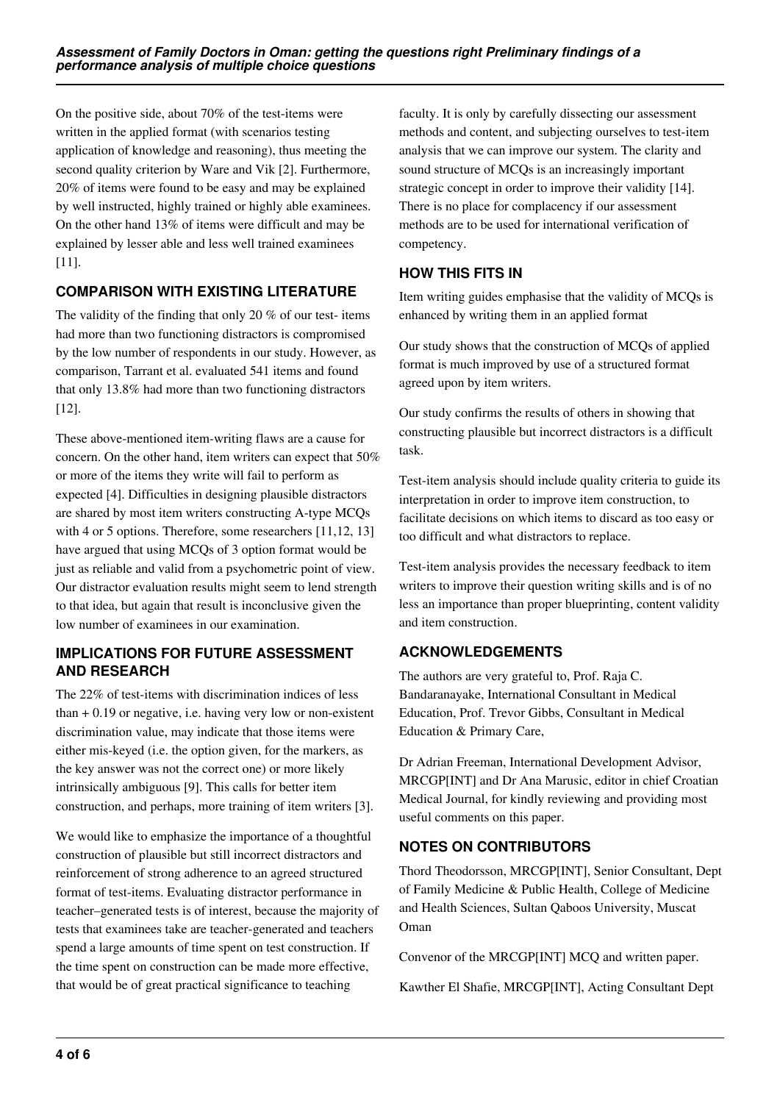On the positive side, about 70% of the test-items were written in the applied format (with scenarios testing application of knowledge and reasoning), thus meeting the second quality criterion by Ware and Vik [2]. Furthermore, 20% of items were found to be easy and may be explained by well instructed, highly trained or highly able examinees. On the other hand 13% of items were difficult and may be explained by lesser able and less well trained examinees [11].

### **COMPARISON WITH EXISTING LITERATURE**

The validity of the finding that only 20 % of our test- items had more than two functioning distractors is compromised by the low number of respondents in our study. However, as comparison, Tarrant et al. evaluated 541 items and found that only 13.8% had more than two functioning distractors [12].

These above-mentioned item-writing flaws are a cause for concern. On the other hand, item writers can expect that 50% or more of the items they write will fail to perform as expected [4]. Difficulties in designing plausible distractors are shared by most item writers constructing A-type MCQs with 4 or 5 options. Therefore, some researchers [11,12, 13] have argued that using MCQs of 3 option format would be just as reliable and valid from a psychometric point of view. Our distractor evaluation results might seem to lend strength to that idea, but again that result is inconclusive given the low number of examinees in our examination.

### **IMPLICATIONS FOR FUTURE ASSESSMENT AND RESEARCH**

The 22% of test-items with discrimination indices of less than + 0.19 or negative, i.e. having very low or non-existent discrimination value, may indicate that those items were either mis-keyed (i.e. the option given, for the markers, as the key answer was not the correct one) or more likely intrinsically ambiguous [9]. This calls for better item construction, and perhaps, more training of item writers [3].

We would like to emphasize the importance of a thoughtful construction of plausible but still incorrect distractors and reinforcement of strong adherence to an agreed structured format of test-items. Evaluating distractor performance in teacher–generated tests is of interest, because the majority of tests that examinees take are teacher-generated and teachers spend a large amounts of time spent on test construction. If the time spent on construction can be made more effective, that would be of great practical significance to teaching

faculty. It is only by carefully dissecting our assessment methods and content, and subjecting ourselves to test-item analysis that we can improve our system. The clarity and sound structure of MCQs is an increasingly important strategic concept in order to improve their validity [14]. There is no place for complacency if our assessment methods are to be used for international verification of competency.

### **HOW THIS FITS IN**

Item writing guides emphasise that the validity of MCQs is enhanced by writing them in an applied format

Our study shows that the construction of MCQs of applied format is much improved by use of a structured format agreed upon by item writers.

Our study confirms the results of others in showing that constructing plausible but incorrect distractors is a difficult task.

Test-item analysis should include quality criteria to guide its interpretation in order to improve item construction, to facilitate decisions on which items to discard as too easy or too difficult and what distractors to replace.

Test-item analysis provides the necessary feedback to item writers to improve their question writing skills and is of no less an importance than proper blueprinting, content validity and item construction.

### **ACKNOWLEDGEMENTS**

The authors are very grateful to, Prof. Raja C. Bandaranayake, International Consultant in Medical Education, Prof. Trevor Gibbs, Consultant in Medical Education & Primary Care,

Dr Adrian Freeman, International Development Advisor, MRCGP[INT] and Dr Ana Marusic, editor in chief Croatian Medical Journal, for kindly reviewing and providing most useful comments on this paper.

### **NOTES ON CONTRIBUTORS**

Thord Theodorsson, MRCGP[INT], Senior Consultant, Dept of Family Medicine & Public Health, College of Medicine and Health Sciences, Sultan Qaboos University, Muscat Oman

Convenor of the MRCGP[INT] MCQ and written paper.

Kawther El Shafie, MRCGP[INT], Acting Consultant Dept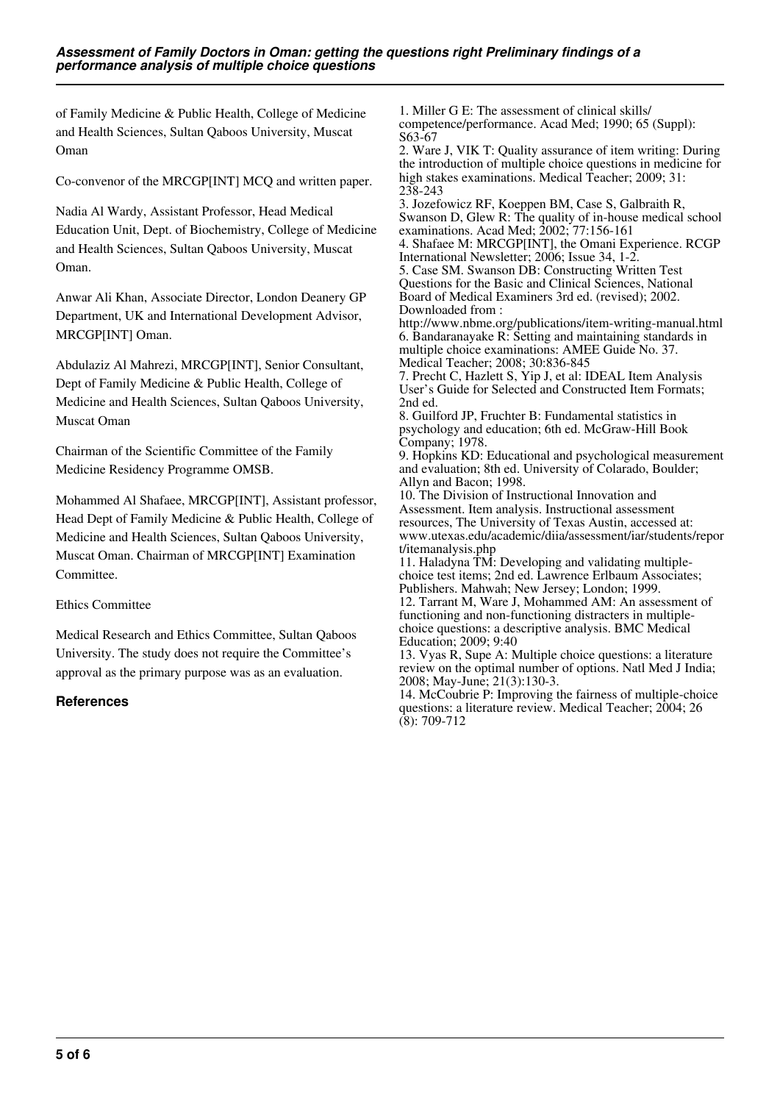of Family Medicine & Public Health, College of Medicine and Health Sciences, Sultan Qaboos University, Muscat Oman

Co-convenor of the MRCGP[INT] MCQ and written paper.

Nadia Al Wardy, Assistant Professor, Head Medical Education Unit, Dept. of Biochemistry, College of Medicine and Health Sciences, Sultan Qaboos University, Muscat Oman.

Anwar Ali Khan, Associate Director, London Deanery GP Department, UK and International Development Advisor, MRCGP[INT] Oman.

Abdulaziz Al Mahrezi, MRCGP[INT], Senior Consultant, Dept of Family Medicine & Public Health, College of Medicine and Health Sciences, Sultan Qaboos University, Muscat Oman

Chairman of the Scientific Committee of the Family Medicine Residency Programme OMSB.

Mohammed Al Shafaee, MRCGP[INT], Assistant professor, Head Dept of Family Medicine & Public Health, College of Medicine and Health Sciences, Sultan Qaboos University, Muscat Oman. Chairman of MRCGP[INT] Examination Committee.

Ethics Committee

Medical Research and Ethics Committee, Sultan Qaboos University. The study does not require the Committee's approval as the primary purpose was as an evaluation.

#### **References**

1. Miller G E: The assessment of clinical skills/ competence/performance. Acad Med; 1990; 65 (Suppl): S63-67

2. Ware J, VIK T: Quality assurance of item writing: During the introduction of multiple choice questions in medicine for high stakes examinations. Medical Teacher; 2009; 31: 238-243

3. Jozefowicz RF, Koeppen BM, Case S, Galbraith R, Swanson D, Glew R: The quality of in-house medical school examinations. Acad Med; 2002; 77:156-161

4. Shafaee M: MRCGP[INT], the Omani Experience. RCGP International Newsletter; 2006; Issue 34, 1-2.

5. Case SM. Swanson DB: Constructing Written Test Questions for the Basic and Clinical Sciences, National Board of Medical Examiners 3rd ed. (revised); 2002. Downloaded from :

http://www.nbme.org/publications/item-writing-manual.html 6. Bandaranayake R: Setting and maintaining standards in multiple choice examinations: AMEE Guide No. 37. Medical Teacher; 2008; 30:836-845

7. Precht C, Hazlett S, Yip J, et al: IDEAL Item Analysis User's Guide for Selected and Constructed Item Formats; 2nd ed.

8. Guilford JP, Fruchter B: Fundamental statistics in psychology and education; 6th ed. McGraw-Hill Book Company; 1978.

9. Hopkins KD: Educational and psychological measurement and evaluation; 8th ed. University of Colarado, Boulder; Allyn and Bacon; 1998.

10. The Division of Instructional Innovation and Assessment. Item analysis. Instructional assessment resources, The University of Texas Austin, accessed at: www.utexas.edu/academic/diia/assessment/iar/students/repor t/itemanalysis.php

11. Haladyna TM: Developing and validating multiplechoice test items; 2nd ed. Lawrence Erlbaum Associates; Publishers. Mahwah; New Jersey; London; 1999.

12. Tarrant M, Ware J, Mohammed AM: An assessment of functioning and non-functioning distracters in multiplechoice questions: a descriptive analysis. BMC Medical Education; 2009; 9:40

13. Vyas R, Supe A: Multiple choice questions: a literature review on the optimal number of options. Natl Med J India; 2008; May-June; 21(3):130-3.

14. McCoubrie P: Improving the fairness of multiple-choice questions: a literature review. Medical Teacher; 2004; 26  $(8): 709-712$